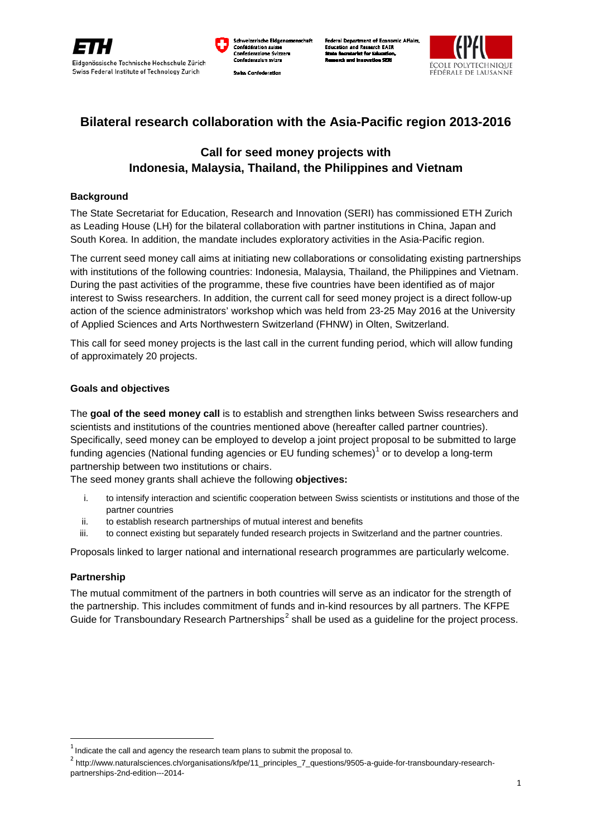

ische Eidar e Svizze

rtment of Economic Affairs h EAER and Roc



# **Bilateral research collaboration with the Asia-Pacific region 2013-2016**

# **Call for seed money projects with Indonesia, Malaysia, Thailand, the Philippines and Vietnam**

### **Background**

The State Secretariat for Education, Research and Innovation (SERI) has commissioned ETH Zurich as Leading House (LH) for the bilateral collaboration with partner institutions in China, Japan and South Korea. In addition, the mandate includes exploratory activities in the Asia-Pacific region.

The current seed money call aims at initiating new collaborations or consolidating existing partnerships with institutions of the following countries: Indonesia, Malaysia, Thailand, the Philippines and Vietnam. During the past activities of the programme, these five countries have been identified as of major interest to Swiss researchers. In addition, the current call for seed money project is a direct follow-up action of the science administrators' workshop which was held from 23-25 May 2016 at the University of Applied Sciences and Arts Northwestern Switzerland (FHNW) in Olten, Switzerland.

This call for seed money projects is the last call in the current funding period, which will allow funding of approximately 20 projects.

### **Goals and objectives**

The **goal of the seed money call** is to establish and strengthen links between Swiss researchers and scientists and institutions of the countries mentioned above (hereafter called partner countries). Specifically, seed money can be employed to develop a joint project proposal to be submitted to large funding agencies (National funding agencies or EU funding schemes)<sup>[1](#page-0-0)</sup> or to develop a long-term partnership between two institutions or chairs.

The seed money grants shall achieve the following **objectives:**

- i. to intensify interaction and scientific cooperation between Swiss scientists or institutions and those of the partner countries
- ii. to establish research partnerships of mutual interest and benefits
- iii. to connect existing but separately funded research projects in Switzerland and the partner countries.

Proposals linked to larger national and international research programmes are particularly welcome.

## **Partnership**

 $\overline{a}$ 

The mutual commitment of the partners in both countries will serve as an indicator for the strength of the partnership. This includes commitment of funds and in-kind resources by all partners. The KFPE Guide for Transboundary Research Partnerships<sup>[2](#page-0-1)</sup> shall be used as a quideline for the project process.

<span id="page-0-0"></span> $1$  Indicate the call and agency the research team plans to submit the proposal to.

<span id="page-0-1"></span><sup>2</sup> http://www.naturalsciences.ch/organisations/kfpe/11\_principles\_7\_questions/9505-a-guide-for-transboundary-researchpartnerships-2nd-edition---2014-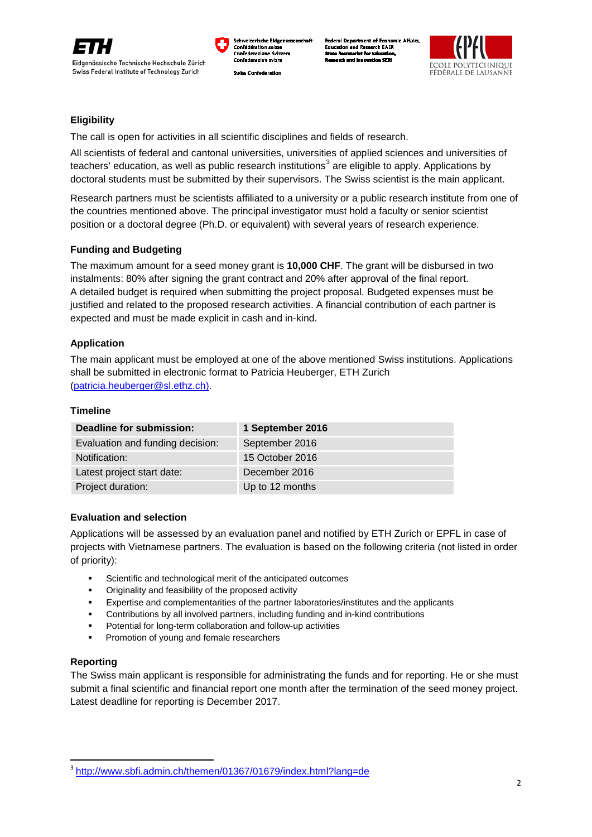

sche Eidar e Svizze tment of Economic Affairs h EAER



# **Eligibility**

The call is open for activities in all scientific disciplines and fields of research.

All scientists of federal and cantonal universities, universities of applied sciences and universities of teachers' education, as well as public research institutions<sup>[3](#page-1-0)</sup> are eligible to apply. Applications by doctoral students must be submitted by their supervisors. The Swiss scientist is the main applicant.

Research partners must be scientists affiliated to a university or a public research institute from one of the countries mentioned above. The principal investigator must hold a faculty or senior scientist position or a doctoral degree (Ph.D. or equivalent) with several years of research experience.

## **Funding and Budgeting**

The maximum amount for a seed money grant is **10,000 CHF**. The grant will be disbursed in two instalments: 80% after signing the grant contract and 20% after approval of the final report. A detailed budget is required when submitting the project proposal. Budgeted expenses must be justified and related to the proposed research activities. A financial contribution of each partner is expected and must be made explicit in cash and in-kind.

### **Application**

The main applicant must be employed at one of the above mentioned Swiss institutions. Applications shall be submitted in electronic format to Patricia Heuberger, ETH Zurich [\(patricia.heuberger@sl.ethz.ch\)](mailto:patricia.heuberger@sl.ethz.ch).

#### **Timeline**

| Deadline for submission:         | 1 September 2016 |
|----------------------------------|------------------|
| Evaluation and funding decision: | September 2016   |
| Notification:                    | 15 October 2016  |
| Latest project start date:       | December 2016    |
| Project duration:                | Up to 12 months  |

#### **Evaluation and selection**

Applications will be assessed by an evaluation panel and notified by ETH Zurich or EPFL in case of projects with Vietnamese partners. The evaluation is based on the following criteria (not listed in order of priority):

- Scientific and technological merit of the anticipated outcomes
- Originality and feasibility of the proposed activity
- Expertise and complementarities of the partner laboratories/institutes and the applicants
- Contributions by all involved partners, including funding and in-kind contributions
- Potential for long-term collaboration and follow-up activities
- **Promotion of young and female researchers**

#### **Reporting**

The Swiss main applicant is responsible for administrating the funds and for reporting. He or she must submit a final scientific and financial report one month after the termination of the seed money project. Latest deadline for reporting is December 2017.

<span id="page-1-0"></span><sup>3</sup> <http://www.sbfi.admin.ch/themen/01367/01679/index.html?lang=de>  $\overline{a}$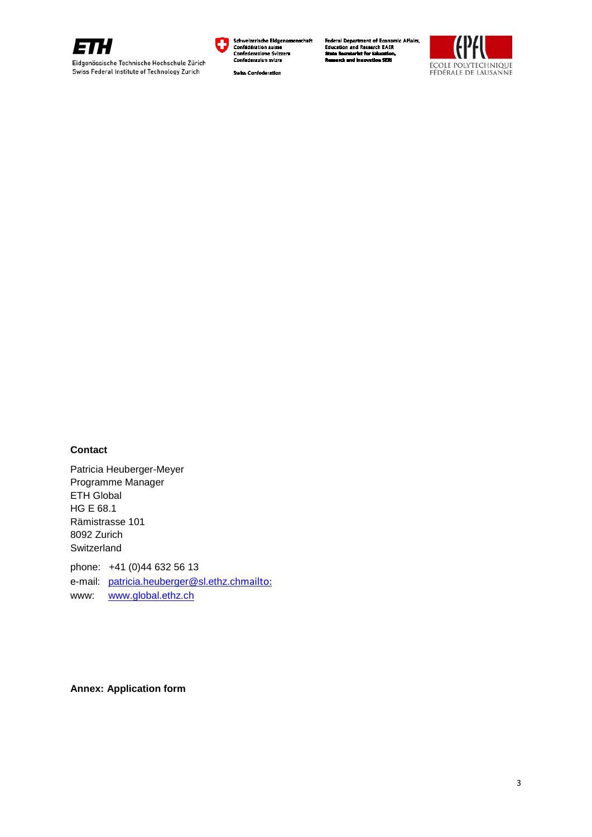

Eidgenössische Technische Hochschule Zürich Swiss Federal Institute of Technology Zurich



**Swiss Confederation** 

Federal Department of Economic Affairs,<br>Education and Research EAER<br>State Secretariat for Education,



# **Contact**

Patricia Heuberger-Meyer Programme Manager ETH Global HG E 68.1 Rämistrasse 101 8092 Zurich **Switzerland** phone: +41 (0)44 632 56 13 e-mail: [patricia.heuberger@sl.ethz.ch](mailto:patricia.heuberger@sl.ethz.ch)[mailto:](mailto:patricia.heuberger@sl.ethz.ch) www: [www.global.ethz.ch](http://www.global.ethz.ch/)

**Annex: Application form**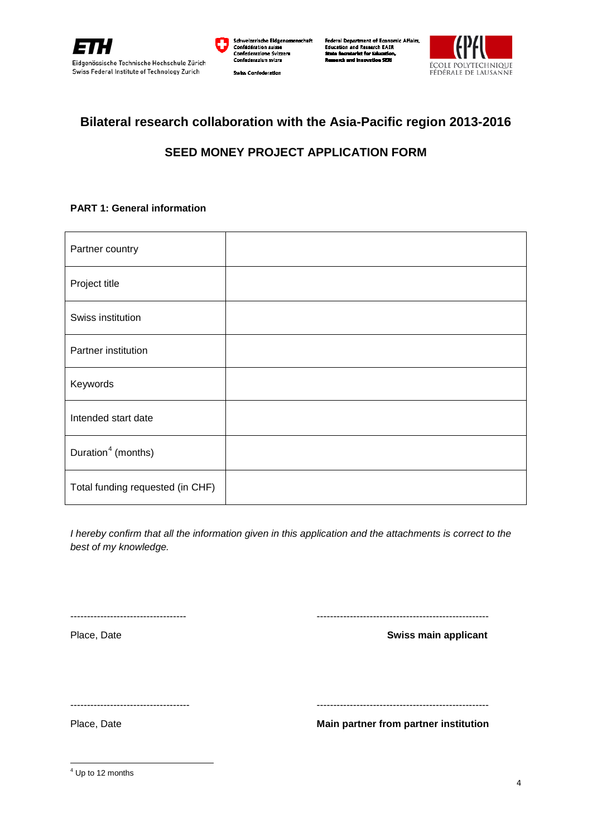



Federal Department of Economic Affairs,<br>Education and Research EAER tment of Econon<br>| Research EAER<br>|at for Education,<br>|nnovation SERI



# **Bilateral research collaboration with the Asia-Pacific region 2013-2016**

# **SEED MONEY PROJECT APPLICATION FORM**

# **PART 1: General information**

| Partner country                  |  |
|----------------------------------|--|
| Project title                    |  |
| Swiss institution                |  |
| Partner institution              |  |
| Keywords                         |  |
| Intended start date              |  |
| Duration <sup>4</sup> (months)   |  |
| Total funding requested (in CHF) |  |

*I hereby confirm that all the information given in this application and the attachments is correct to the best of my knowledge.* 

----------------------------------- ----------------------------------------------------

Place, Date **Place**, Date **Swiss main applicant** 

------------------------------------ ----------------------------------------------------

Place, Date **Main partner from partner institution**

<span id="page-3-0"></span> $<sup>4</sup>$  Up to 12 months</sup>  $\overline{a}$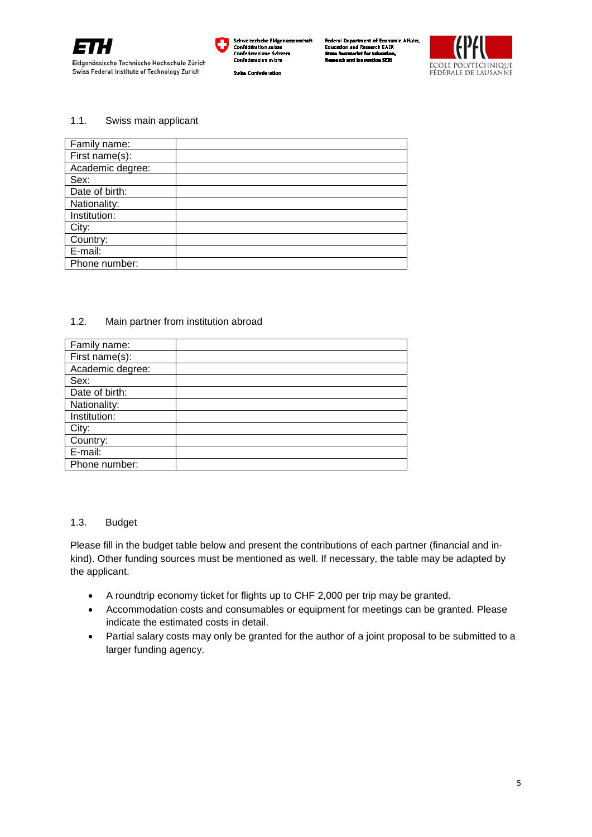

.<br>rische Eidge **Confédératio** . . . . . . .<br>1e Svizzera Swiss Confederation

rtment of Economic Affairs. ral Dei n Econol<br>ch EAER and Res



#### 1.1. Swiss main applicant

| Family name:     |  |
|------------------|--|
| First name(s):   |  |
| Academic degree: |  |
| Sex:             |  |
| Date of birth:   |  |
| Nationality:     |  |
| Institution:     |  |
| City:            |  |
| Country:         |  |
| E-mail:          |  |
| Phone number:    |  |
|                  |  |

#### 1.2. Main partner from institution abroad

| Family name:     |  |
|------------------|--|
| First name(s):   |  |
| Academic degree: |  |
| Sex:             |  |
| Date of birth:   |  |
| Nationality:     |  |
| Institution:     |  |
| City:            |  |
| Country:         |  |
| E-mail:          |  |
| Phone number:    |  |

#### 1.3. Budget

Please fill in the budget table below and present the contributions of each partner (financial and inkind). Other funding sources must be mentioned as well. If necessary, the table may be adapted by the applicant.

- A roundtrip economy ticket for flights up to CHF 2,000 per trip may be granted.
- Accommodation costs and consumables or equipment for meetings can be granted. Please indicate the estimated costs in detail.
- Partial salary costs may only be granted for the author of a joint proposal to be submitted to a larger funding agency.